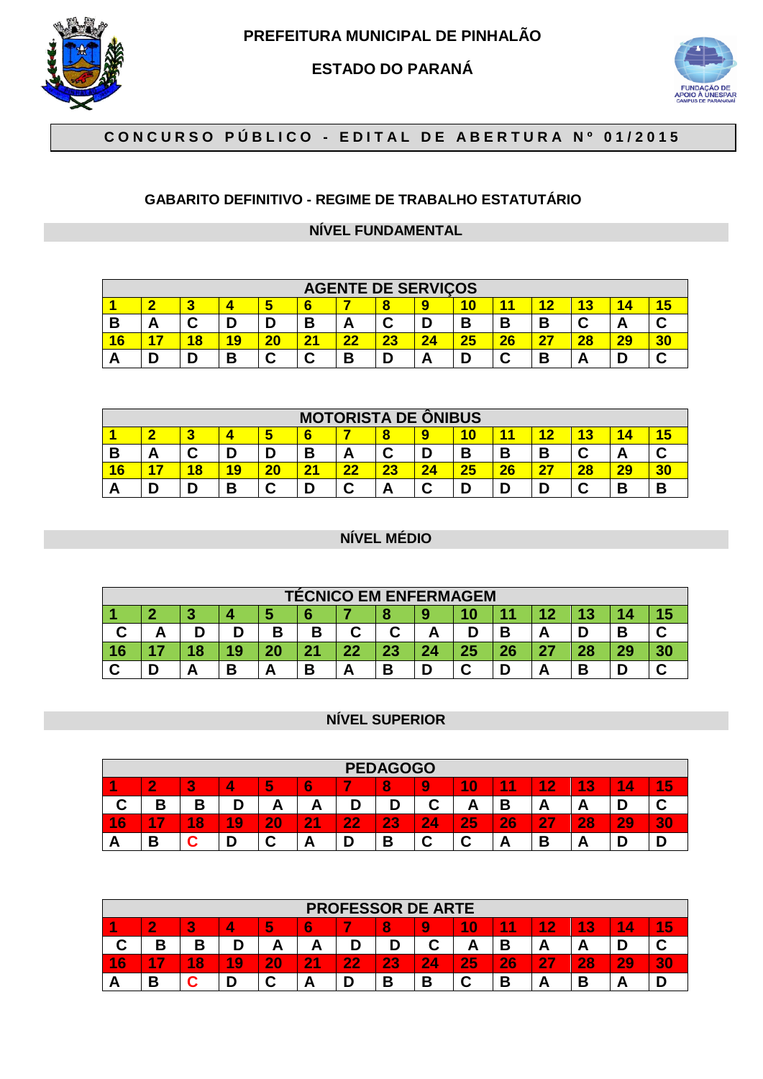

**PREFEITURA MUNICIPAL DE PINHALÃO** 

**ESTADO DO PARANÁ** 



# **C O N C U R S O P Ú B L I C O - E D I T A L D E A B E R T U R A N º 0 1 / 2 0 1 5**

## **GABARITO DEFINITIVO - REGIME DE TRABALHO ESTATUTÁRIO**

### **NÍVEL FUNDAMENTAL**

|                | <b>AGENTE DE SERVIÇOS</b> |   |   |        |             |                 |        |    |    |    |    |                          |    |                 |
|----------------|---------------------------|---|---|--------|-------------|-----------------|--------|----|----|----|----|--------------------------|----|-----------------|
|                | œ                         |   |   |        |             |                 | 8      |    |    |    |    | $\overline{\phantom{a}}$ |    | <b>CONTRACT</b> |
| В              | Δ<br>r.                   | ື | n |        | В           | <b>A</b>        | ⌒<br>๛ |    | В  | В  | В  |                          | r. |                 |
| $\overline{6}$ |                           | 8 | 9 | 20     | $2^{\cdot}$ | $\overline{22}$ | 23     | 24 | 25 | 26 | דר | 28                       | 29 |                 |
| -              |                           |   | В | ⌒<br>ື | ⌒<br>u      | D               |        |    | r  | ⌒  | В  |                          |    |                 |

|   | <b>MOTORISTA DE ONIBUS</b>                            |   |    |    |                |    |        |        |    |    |    |    |    |   |  |
|---|-------------------------------------------------------|---|----|----|----------------|----|--------|--------|----|----|----|----|----|---|--|
|   | 10<br>c<br>8<br>6<br>ю<br>w<br>$\sim$<br><b>Table</b> |   |    |    |                |    |        |        |    |    |    |    |    |   |  |
| в | Δ<br>n                                                |   | D  |    | В              | A  | ◠<br>ີ |        | B  | В  | В  |    | n  |   |  |
| 6 |                                                       | 8 | 19 | 20 | 2 <sub>1</sub> | 22 | 23     | 24     | 25 | 26 | 27 | 28 | 29 |   |  |
|   | n                                                     |   | В  | ⌒  | r              |    | -      | ◠<br>້ | D  |    |    |    | В  | D |  |

#### **NÍVEL MÉDIO**

|    | <b>TÉCNICO EM ENFERMAGEM</b> |    |   |    |           |    |          |    |    |    |           |    |    |  |
|----|------------------------------|----|---|----|-----------|----|----------|----|----|----|-----------|----|----|--|
|    | - 12<br><b>STAR</b>          |    |   |    |           |    |          |    |    |    |           |    |    |  |
| ື  |                              |    |   | В  | В         | ⌒  | ⌒<br>÷   | r  |    |    | ┍         |    | В  |  |
| 16 |                              | lΩ |   | 20 | 94<br>. . | 22 | າາ<br>ΖJ | 24 | 25 | 26 | <b>27</b> | 28 | 29 |  |
|    | ∍                            |    | D | r  | В         |    | В        |    | ⌒  |    | -         | n  | D  |  |

### **NÍVEL SUPERIOR**

|        | <b>PEDAGOGO</b> |            |    |              |                |    |          |   |    |        |          |                                    |        |           |
|--------|-----------------|------------|----|--------------|----------------|----|----------|---|----|--------|----------|------------------------------------|--------|-----------|
|        | $\sim$          | <b>ALL</b> |    | b            | æ.<br>O        |    |          |   | 10 | 4<br>л | 4<br>2   | 4<br>$\overline{\mathbf{a}}$<br>т. | 4<br>4 | 5         |
| ◡      | B<br>U          | D<br>U     |    | r            |                |    |          | C | r  |        | <u>r</u> | г                                  |        |           |
| 6<br>и | -               | 8<br>и     | 19 | $20^{\circ}$ | $\overline{2}$ | 22 | 23<br>Lν | 4 | 25 | 26     | 27       | 28                                 | 29     | $\bullet$ |
| r      | D<br>D          |            |    |              | −              |    | В        | ⌒ | u  | -      | В        | -                                  |        |           |

|        | <b>PROFESSOR DE ARTE</b>                                                               |        |    |    |    |    |    |                        |           |    |    |        |    |    |  |
|--------|----------------------------------------------------------------------------------------|--------|----|----|----|----|----|------------------------|-----------|----|----|--------|----|----|--|
|        | 4<br>5<br>A<br>A.<br>10<br>m<br>$\overline{3}$<br>6<br>4<br>2<br>8<br>А<br>1<br>4<br>b |        |    |    |    |    |    |                        |           |    |    |        |    |    |  |
|        | D<br>D                                                                                 | D<br>в |    | -  | ́г |    |    |                        | <u>гч</u> |    | n  | г      |    |    |  |
| 6<br>4 | -7<br>А                                                                                | 8<br>4 | 19 | 20 | 21 | 22 | 23 | 2.<br>$\boldsymbol{A}$ | 25        | 26 | 27 | 28     | 29 | 30 |  |
|        | D                                                                                      |        | D  | ⌒  | ┍  |    | В  | n                      |           | −  | г  | n<br>D | A  |    |  |